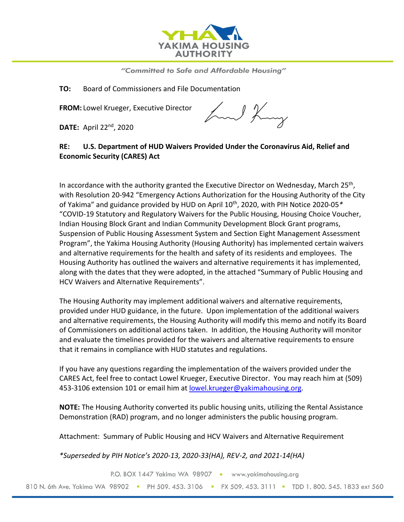

"Committed to Safe and Affordable Housing"

**TO:** Board of Commissioners and File Documentation

**FROM:** Lowel Krueger, Executive Director

**DATE:** April 22nd, 2020

hand King

### **RE: U.S. Department of HUD Waivers Provided Under the Coronavirus Aid, Relief and Economic Security (CARES) Act**

In accordance with the authority granted the Executive Director on Wednesday, March  $25<sup>th</sup>$ , with Resolution 20-942 "Emergency Actions Authorization for the Housing Authority of the City of Yakima" and guidance provided by HUD on April 10th, 2020, with PIH Notice 2020-05*\** "COVID-19 Statutory and Regulatory Waivers for the Public Housing, Housing Choice Voucher, Indian Housing Block Grant and Indian Community Development Block Grant programs, Suspension of Public Housing Assessment System and Section Eight Management Assessment Program", the Yakima Housing Authority (Housing Authority) has implemented certain waivers and alternative requirements for the health and safety of its residents and employees. The Housing Authority has outlined the waivers and alternative requirements it has implemented, along with the dates that they were adopted, in the attached "Summary of Public Housing and HCV Waivers and Alternative Requirements".

The Housing Authority may implement additional waivers and alternative requirements, provided under HUD guidance, in the future. Upon implementation of the additional waivers and alternative requirements, the Housing Authority will modify this memo and notify its Board of Commissioners on additional actions taken. In addition, the Housing Authority will monitor and evaluate the timelines provided for the waivers and alternative requirements to ensure that it remains in compliance with HUD statutes and regulations.

If you have any questions regarding the implementation of the waivers provided under the CARES Act, feel free to contact Lowel Krueger, Executive Director. You may reach him at (509) 453-3106 extension 101 or email him at [lowel.krueger@yakimahousing.org.](mailto:lowel.krueger@yakimahousing.org)

**NOTE:** The Housing Authority converted its public housing units, utilizing the Rental Assistance Demonstration (RAD) program, and no longer administers the public housing program.

Attachment: Summary of Public Housing and HCV Waivers and Alternative Requirement

*\*Superseded by PIH Notice's 2020-13, 2020-33(HA), REV-2, and 2021-14(HA)*

P.O. BOX 1447 Yakima WA 98907 · www.yakimahousing.org 810 N. 6th Ave. Yakima WA 98902 • PH 509, 453, 3106 • FX 509, 453, 3111 • TDD 1, 800, 545, 1833 ext 560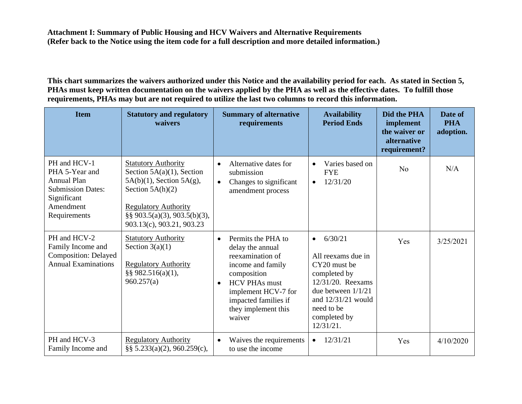**This chart summarizes the waivers authorized under this Notice and the availability period for each. As stated in Section 5, PHAs must keep written documentation on the waivers applied by the PHA as well as the effective dates. To fulfill those requirements, PHAs may but are not required to utilize the last two columns to record this information.** 

| <b>Item</b>                                                                                                                  | <b>Statutory and regulatory</b><br>waivers                                                                                                                                                                         | <b>Summary of alternative</b><br>requirements                                                                                                                                                                                    | <b>Availability</b><br><b>Period Ends</b>                                                                                                                                                     | Did the PHA<br>implement<br>the waiver or<br>alternative<br>requirement? | Date of<br><b>PHA</b><br>adoption. |
|------------------------------------------------------------------------------------------------------------------------------|--------------------------------------------------------------------------------------------------------------------------------------------------------------------------------------------------------------------|----------------------------------------------------------------------------------------------------------------------------------------------------------------------------------------------------------------------------------|-----------------------------------------------------------------------------------------------------------------------------------------------------------------------------------------------|--------------------------------------------------------------------------|------------------------------------|
| PH and HCV-1<br>PHA 5-Year and<br><b>Annual Plan</b><br><b>Submission Dates:</b><br>Significant<br>Amendment<br>Requirements | <b>Statutory Authority</b><br>Section $5A(a)(1)$ , Section<br>$5A(b)(1)$ , Section $5A(g)$ ,<br>Section $5A(h)(2)$<br><b>Regulatory Authority</b><br>$\S\S 903.5(a)(3), 903.5(b)(3),$<br>903.13(c), 903.21, 903.23 | Alternative dates for<br>$\bullet$<br>submission<br>Changes to significant<br>$\bullet$<br>amendment process                                                                                                                     | Varies based on<br>$\bullet$<br><b>FYE</b><br>12/31/20<br>$\bullet$                                                                                                                           | N <sub>o</sub>                                                           | N/A                                |
| PH and HCV-2<br>Family Income and<br><b>Composition: Delayed</b><br><b>Annual Examinations</b>                               | <b>Statutory Authority</b><br>Section $3(a)(1)$<br><b>Regulatory Authority</b><br>§§ 982.516(a)(1),<br>960.257(a)                                                                                                  | Permits the PHA to<br>$\bullet$<br>delay the annual<br>reexamination of<br>income and family<br>composition<br><b>HCV PHAs must</b><br>$\bullet$<br>implement HCV-7 for<br>impacted families if<br>they implement this<br>waiver | 6/30/21<br>$\bullet$<br>All reexams due in<br>CY20 must be<br>completed by<br>$12/31/20$ . Reexams<br>due between $1/1/21$<br>and $12/31/21$ would<br>need to be<br>completed by<br>12/31/21. | Yes                                                                      | 3/25/2021                          |
| PH and HCV-3<br>Family Income and                                                                                            | <b>Regulatory Authority</b><br>§§ $5.233(a)(2)$ , 960.259(c),                                                                                                                                                      | Waives the requirements<br>$\bullet$<br>to use the income                                                                                                                                                                        | 12/31/21<br>$\bullet$                                                                                                                                                                         | Yes                                                                      | 4/10/2020                          |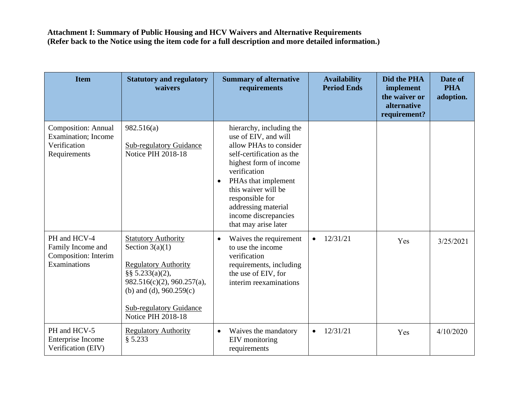| <b>Item</b>                                                                               | <b>Statutory and regulatory</b><br>waivers                                                                                                                                                                                           | <b>Summary of alternative</b><br>requirements                                                                                                                                                                                                                                                          | <b>Availability</b><br><b>Period Ends</b> | Did the PHA<br>implement<br>the waiver or<br>alternative<br>requirement? | Date of<br><b>PHA</b><br>adoption. |
|-------------------------------------------------------------------------------------------|--------------------------------------------------------------------------------------------------------------------------------------------------------------------------------------------------------------------------------------|--------------------------------------------------------------------------------------------------------------------------------------------------------------------------------------------------------------------------------------------------------------------------------------------------------|-------------------------------------------|--------------------------------------------------------------------------|------------------------------------|
| <b>Composition: Annual</b><br><b>Examination</b> ; Income<br>Verification<br>Requirements | 982.516(a)<br><b>Sub-regulatory Guidance</b><br>Notice PIH 2018-18                                                                                                                                                                   | hierarchy, including the<br>use of EIV, and will<br>allow PHAs to consider<br>self-certification as the<br>highest form of income<br>verification<br>PHAs that implement<br>$\bullet$<br>this waiver will be<br>responsible for<br>addressing material<br>income discrepancies<br>that may arise later |                                           |                                                                          |                                    |
| PH and HCV-4<br>Family Income and<br>Composition: Interim<br>Examinations                 | <b>Statutory Authority</b><br>Section $3(a)(1)$<br><b>Regulatory Authority</b><br>§§ $5.233(a)(2)$ ,<br>$982.516(c)(2)$ , $960.257(a)$ ,<br>(b) and (d), $960.259(c)$<br><b>Sub-regulatory Guidance</b><br><b>Notice PIH 2018-18</b> | Waives the requirement<br>$\bullet$<br>to use the income<br>verification<br>requirements, including<br>the use of EIV, for<br>interim reexaminations                                                                                                                                                   | 12/31/21<br>$\bullet$                     | Yes                                                                      | 3/25/2021                          |
| PH and HCV-5<br>Enterprise Income<br>Verification (EIV)                                   | <b>Regulatory Authority</b><br>§ 5.233                                                                                                                                                                                               | Waives the mandatory<br>$\bullet$<br>EIV monitoring<br>requirements                                                                                                                                                                                                                                    | 12/31/21<br>$\bullet$                     | Yes                                                                      | 4/10/2020                          |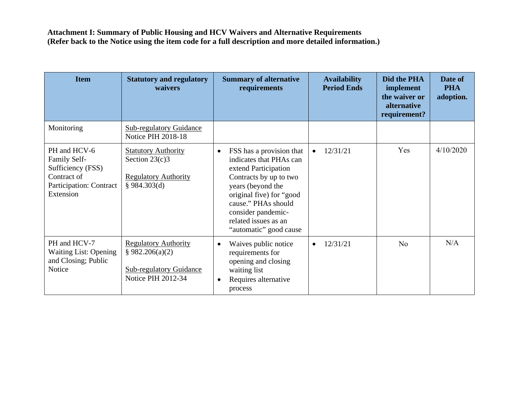| <b>Item</b>                                                                                                     | <b>Statutory and regulatory</b><br>waivers                                                             | <b>Summary of alternative</b><br>requirements                                                                                                                                                                                                                      | <b>Availability</b><br><b>Period Ends</b> | Did the PHA<br>implement<br>the waiver or<br><i>alternative</i><br>requirement? | Date of<br><b>PHA</b><br>adoption. |
|-----------------------------------------------------------------------------------------------------------------|--------------------------------------------------------------------------------------------------------|--------------------------------------------------------------------------------------------------------------------------------------------------------------------------------------------------------------------------------------------------------------------|-------------------------------------------|---------------------------------------------------------------------------------|------------------------------------|
| Monitoring                                                                                                      | <b>Sub-regulatory Guidance</b><br><b>Notice PIH 2018-18</b>                                            |                                                                                                                                                                                                                                                                    |                                           |                                                                                 |                                    |
| PH and HCV-6<br>Family Self-<br>Sufficiency (FSS)<br>Contract of<br><b>Participation: Contract</b><br>Extension | <b>Statutory Authority</b><br>Section $23(c)3$<br><b>Regulatory Authority</b><br>§ 984.303(d)          | FSS has a provision that<br>$\bullet$<br>indicates that PHAs can<br>extend Participation<br>Contracts by up to two<br>years (beyond the<br>original five) for "good<br>cause." PHAs should<br>consider pandemic-<br>related issues as an<br>"automatic" good cause | 12/31/21                                  | Yes                                                                             | 4/10/2020                          |
| PH and HCV-7<br><b>Waiting List: Opening</b><br>and Closing; Public<br>Notice                                   | <b>Regulatory Authority</b><br>§ 982.206(a)(2)<br><b>Sub-regulatory Guidance</b><br>Notice PIH 2012-34 | Waives public notice<br>$\bullet$<br>requirements for<br>opening and closing<br>waiting list<br>Requires alternative<br>$\bullet$<br>process                                                                                                                       | 12/31/21<br>$\bullet$                     | N <sub>o</sub>                                                                  | N/A                                |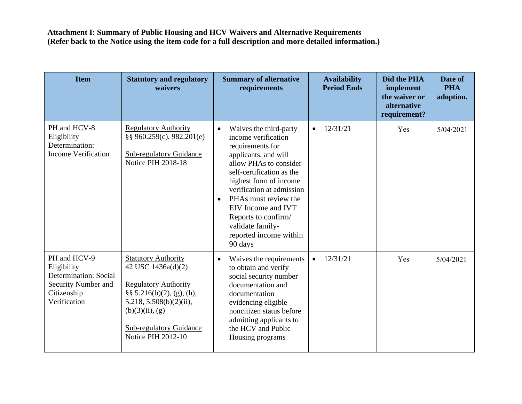| <b>Item</b>                                                                                                | <b>Statutory and regulatory</b><br>waivers                                                                                                                                                                                      | <b>Summary of alternative</b><br>requirements                                                                                                                                                                                                                                                                                                                   | <b>Availability</b><br><b>Period Ends</b> | Did the PHA<br>implement<br>the waiver or<br>alternative<br>requirement? | Date of<br><b>PHA</b><br>adoption. |
|------------------------------------------------------------------------------------------------------------|---------------------------------------------------------------------------------------------------------------------------------------------------------------------------------------------------------------------------------|-----------------------------------------------------------------------------------------------------------------------------------------------------------------------------------------------------------------------------------------------------------------------------------------------------------------------------------------------------------------|-------------------------------------------|--------------------------------------------------------------------------|------------------------------------|
| PH and HCV-8<br>Eligibility<br>Determination:<br><b>Income Verification</b>                                | <b>Regulatory Authority</b><br>§§ 960.259(c), 982.201(e)<br><b>Sub-regulatory Guidance</b><br>Notice PIH 2018-18                                                                                                                | Waives the third-party<br>$\bullet$<br>income verification<br>requirements for<br>applicants, and will<br>allow PHAs to consider<br>self-certification as the<br>highest form of income<br>verification at admission<br>PHAs must review the<br>$\bullet$<br>EIV Income and IVT<br>Reports to confirm/<br>validate family-<br>reported income within<br>90 days | 12/31/21<br>$\bullet$                     | Yes                                                                      | 5/04/2021                          |
| PH and HCV-9<br>Eligibility<br>Determination: Social<br>Security Number and<br>Citizenship<br>Verification | <b>Statutory Authority</b><br>42 USC 1436a(d)(2)<br><b>Regulatory Authority</b><br>$\S\S 5.216(b)(2)$ , (g), (h),<br>$5.218, 5.508(b)(2)(ii)$ ,<br>$(b)(3)(ii)$ , $(g)$<br><b>Sub-regulatory Guidance</b><br>Notice PIH 2012-10 | Waives the requirements<br>$\bullet$<br>to obtain and verify<br>social security number<br>documentation and<br>documentation<br>evidencing eligible<br>noncitizen status before<br>admitting applicants to<br>the HCV and Public<br>Housing programs                                                                                                            | 12/31/21<br>$\bullet$                     | Yes                                                                      | 5/04/2021                          |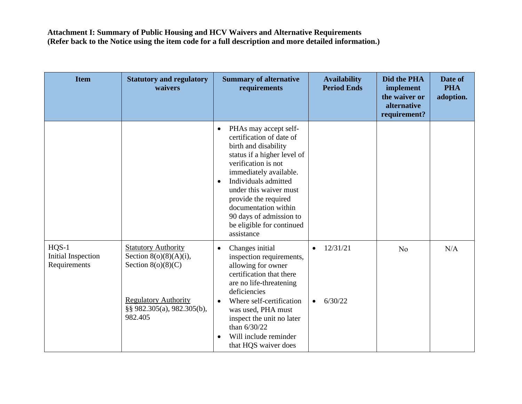| <b>Item</b>                                          | <b>Statutory and regulatory</b><br>waivers                                                                                                              | <b>Summary of alternative</b><br>requirements                                                                                                                                                                                                                                                                                                               | <b>Availability</b><br><b>Period Ends</b> | Did the PHA<br>implement<br>the waiver or<br>alternative<br>requirement? | Date of<br><b>PHA</b><br>adoption. |
|------------------------------------------------------|---------------------------------------------------------------------------------------------------------------------------------------------------------|-------------------------------------------------------------------------------------------------------------------------------------------------------------------------------------------------------------------------------------------------------------------------------------------------------------------------------------------------------------|-------------------------------------------|--------------------------------------------------------------------------|------------------------------------|
|                                                      |                                                                                                                                                         | PHAs may accept self-<br>$\bullet$<br>certification of date of<br>birth and disability<br>status if a higher level of<br>verification is not<br>immediately available.<br>Individuals admitted<br>$\bullet$<br>under this waiver must<br>provide the required<br>documentation within<br>90 days of admission to<br>be eligible for continued<br>assistance |                                           |                                                                          |                                    |
| $HQS-1$<br><b>Initial Inspection</b><br>Requirements | <b>Statutory Authority</b><br>Section $8(o)(8)(A)(i)$ ,<br>Section $8(0)(8)(C)$<br><b>Regulatory Authority</b><br>§§ 982.305(a), 982.305(b),<br>982.405 | Changes initial<br>$\bullet$<br>inspection requirements,<br>allowing for owner<br>certification that there<br>are no life-threatening<br>deficiencies<br>Where self-certification<br>$\bullet$<br>was used, PHA must<br>inspect the unit no later<br>than 6/30/22<br>Will include reminder<br>$\bullet$<br>that HQS waiver does                             | 12/31/21<br>6/30/22<br>$\bullet$          | N <sub>o</sub>                                                           | N/A                                |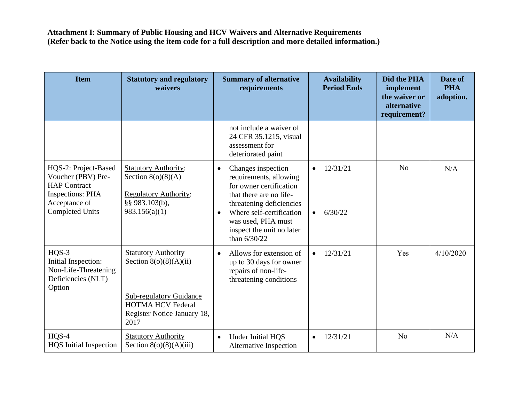| <b>Item</b>                                                                                                                             | <b>Statutory and regulatory</b><br>waivers                                                                                                                  | <b>Summary of alternative</b><br>requirements                                                                                                                                                                                                           | <b>Availability</b><br><b>Period Ends</b>     | Did the PHA<br>implement<br>the waiver or<br>alternative<br>requirement? | Date of<br><b>PHA</b><br>adoption. |
|-----------------------------------------------------------------------------------------------------------------------------------------|-------------------------------------------------------------------------------------------------------------------------------------------------------------|---------------------------------------------------------------------------------------------------------------------------------------------------------------------------------------------------------------------------------------------------------|-----------------------------------------------|--------------------------------------------------------------------------|------------------------------------|
|                                                                                                                                         |                                                                                                                                                             | not include a waiver of<br>24 CFR 35.1215, visual<br>assessment for<br>deteriorated paint                                                                                                                                                               |                                               |                                                                          |                                    |
| HQS-2: Project-Based<br>Voucher (PBV) Pre-<br><b>HAP Contract</b><br><b>Inspections: PHA</b><br>Acceptance of<br><b>Completed Units</b> | <b>Statutory Authority:</b><br>Section $8(o)(8)(A)$<br><b>Regulatory Authority:</b><br>§§ 983.103(b),<br>983.156(a)(1)                                      | Changes inspection<br>$\bullet$<br>requirements, allowing<br>for owner certification<br>that there are no life-<br>threatening deficiencies<br>Where self-certification<br>$\bullet$<br>was used, PHA must<br>inspect the unit no later<br>than 6/30/22 | 12/31/21<br>$\bullet$<br>6/30/22<br>$\bullet$ | N <sub>o</sub>                                                           | N/A                                |
| $HQS-3$<br>Initial Inspection:<br>Non-Life-Threatening<br>Deficiencies (NLT)<br>Option                                                  | <b>Statutory Authority</b><br>Section $8(o)(8)(A)(ii)$<br><b>Sub-regulatory Guidance</b><br><b>HOTMA HCV Federal</b><br>Register Notice January 18,<br>2017 | Allows for extension of<br>$\bullet$<br>up to 30 days for owner<br>repairs of non-life-<br>threatening conditions                                                                                                                                       | 12/31/21<br>$\bullet$                         | Yes                                                                      | 4/10/2020                          |
| $HQS-4$<br><b>HQS</b> Initial Inspection                                                                                                | <b>Statutory Authority</b><br>Section $8(o)(8)(A)(iii)$                                                                                                     | Under Initial HQS<br>$\bullet$<br>Alternative Inspection                                                                                                                                                                                                | 12/31/21<br>$\bullet$                         | No                                                                       | N/A                                |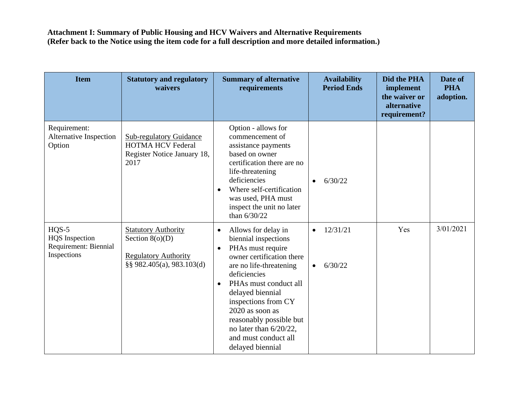| <b>Item</b>                                                              | <b>Statutory and regulatory</b><br>waivers                                                                  | <b>Summary of alternative</b><br>requirements                                                                                                                                                                                                                                                                                                                           | <b>Availability</b><br><b>Period Ends</b>     | Did the PHA<br>implement<br>the waiver or<br>alternative<br>requirement? | Date of<br><b>PHA</b><br>adoption. |
|--------------------------------------------------------------------------|-------------------------------------------------------------------------------------------------------------|-------------------------------------------------------------------------------------------------------------------------------------------------------------------------------------------------------------------------------------------------------------------------------------------------------------------------------------------------------------------------|-----------------------------------------------|--------------------------------------------------------------------------|------------------------------------|
| Requirement:<br><b>Alternative Inspection</b><br>Option                  | <b>Sub-regulatory Guidance</b><br><b>HOTMA HCV Federal</b><br>Register Notice January 18,<br>2017           | Option - allows for<br>commencement of<br>assistance payments<br>based on owner<br>certification there are no<br>life-threatening<br>deficiencies<br>Where self-certification<br>$\bullet$<br>was used, PHA must<br>inspect the unit no later<br>than $6/30/22$                                                                                                         | 6/30/22                                       |                                                                          |                                    |
| $HQS-5$<br><b>HQS</b> Inspection<br>Requirement: Biennial<br>Inspections | <b>Statutory Authority</b><br>Section $8(o)(D)$<br><b>Regulatory Authority</b><br>§§ 982.405(a), 983.103(d) | Allows for delay in<br>$\bullet$<br>biennial inspections<br>PHAs must require<br>$\bullet$<br>owner certification there<br>are no life-threatening<br>deficiencies<br>PHAs must conduct all<br>$\bullet$<br>delayed biennial<br>inspections from CY<br>2020 as soon as<br>reasonably possible but<br>no later than 6/20/22,<br>and must conduct all<br>delayed biennial | 12/31/21<br>$\bullet$<br>6/30/22<br>$\bullet$ | Yes                                                                      | 3/01/2021                          |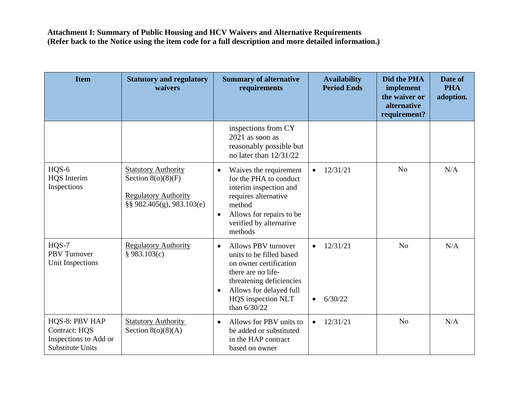| <b>Item</b>                                                                         | <b>Statutory and regulatory</b><br>waivers                                                                     | <b>Summary of alternative</b><br>requirements                                                                                                                                                                            | <b>Availability</b><br><b>Period Ends</b>     | Did the PHA<br>implement<br>the waiver or<br>alternative<br>requirement? | Date of<br><b>PHA</b><br>adoption. |
|-------------------------------------------------------------------------------------|----------------------------------------------------------------------------------------------------------------|--------------------------------------------------------------------------------------------------------------------------------------------------------------------------------------------------------------------------|-----------------------------------------------|--------------------------------------------------------------------------|------------------------------------|
|                                                                                     |                                                                                                                | inspections from CY<br>$2021$ as soon as<br>reasonably possible but<br>no later than $12/31/22$                                                                                                                          |                                               |                                                                          |                                    |
| HQS-6<br><b>HQS</b> Interim<br>Inspections                                          | <b>Statutory Authority</b><br>Section $8(o)(8)(F)$<br><b>Regulatory Authority</b><br>§§ 982.405(g), 983.103(e) | Waives the requirement<br>$\bullet$<br>for the PHA to conduct<br>interim inspection and<br>requires alternative<br>method<br>Allows for repairs to be<br>$\bullet$<br>verified by alternative<br>methods                 | 12/31/21                                      | N <sub>o</sub>                                                           | N/A                                |
| HQS-7<br><b>PBV</b> Turnover<br>Unit Inspections                                    | <b>Regulatory Authority</b><br>§ 983.103(c)                                                                    | Allows PBV turnover<br>$\bullet$<br>units to be filled based<br>on owner certification<br>there are no life-<br>threatening deficiencies<br>Allows for delayed full<br>$\bullet$<br>HQS inspection NLT<br>than $6/30/22$ | 12/31/21<br>$\bullet$<br>6/30/22<br>$\bullet$ | No                                                                       | N/A                                |
| HQS-8: PBV HAP<br>Contract: HQS<br>Inspections to Add or<br><b>Substitute Units</b> | <b>Statutory Authority</b><br>Section $8(o)(8)(A)$                                                             | Allows for PBV units to<br>$\bullet$<br>be added or substituted<br>in the HAP contract<br>based on owner                                                                                                                 | 12/31/21<br>$\bullet$                         | N <sub>o</sub>                                                           | N/A                                |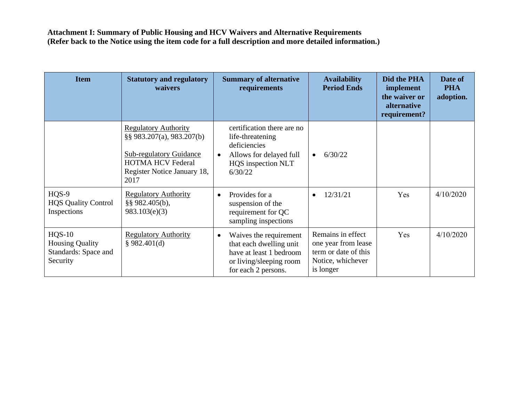| <b>Item</b>                                                            | <b>Statutory and regulatory</b><br>waivers                                                                                                                    | <b>Summary of alternative</b><br>requirements                                                                                               | <b>Availability</b><br><b>Period Ends</b>                                                          | Did the PHA<br>implement<br>the waiver or<br>alternative<br>requirement? | Date of<br><b>PHA</b><br>adoption. |
|------------------------------------------------------------------------|---------------------------------------------------------------------------------------------------------------------------------------------------------------|---------------------------------------------------------------------------------------------------------------------------------------------|----------------------------------------------------------------------------------------------------|--------------------------------------------------------------------------|------------------------------------|
|                                                                        | <b>Regulatory Authority</b><br>§§ 983.207(a), 983.207(b)<br><b>Sub-regulatory Guidance</b><br><b>HOTMA HCV Federal</b><br>Register Notice January 18,<br>2017 | certification there are no<br>life-threatening<br>deficiencies<br>Allows for delayed full<br>$\bullet$<br>HQS inspection NLT<br>6/30/22     | 6/30/22<br>$\bullet$                                                                               |                                                                          |                                    |
| HQS-9<br><b>HQS Quality Control</b><br>Inspections                     | <b>Regulatory Authority</b><br>§§ 982.405(b),<br>983.103(e)(3)                                                                                                | Provides for a<br>$\bullet$<br>suspension of the<br>requirement for QC<br>sampling inspections                                              | 12/31/21<br>$\bullet$                                                                              | Yes                                                                      | 4/10/2020                          |
| $HQS-10$<br><b>Housing Quality</b><br>Standards: Space and<br>Security | <b>Regulatory Authority</b><br>§ 982.401(d)                                                                                                                   | Waives the requirement<br>$\bullet$<br>that each dwelling unit<br>have at least 1 bedroom<br>or living/sleeping room<br>for each 2 persons. | Remains in effect<br>one year from lease<br>term or date of this<br>Notice, whichever<br>is longer | Yes                                                                      | 4/10/2020                          |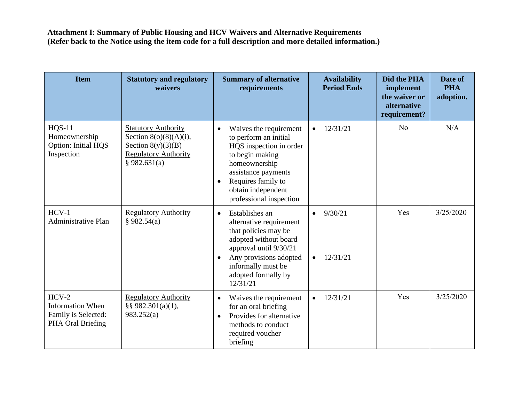| <b>Item</b>                                                                    | <b>Statutory and regulatory</b><br>waivers                                                                                     | <b>Summary of alternative</b><br>requirements                                                                                                                                                                                          | <b>Availability</b><br><b>Period Ends</b>     | Did the PHA<br>implement<br>the waiver or<br>alternative<br>requirement? | Date of<br><b>PHA</b><br>adoption. |
|--------------------------------------------------------------------------------|--------------------------------------------------------------------------------------------------------------------------------|----------------------------------------------------------------------------------------------------------------------------------------------------------------------------------------------------------------------------------------|-----------------------------------------------|--------------------------------------------------------------------------|------------------------------------|
| <b>HQS-11</b><br>Homeownership<br>Option: Initial HQS<br>Inspection            | <b>Statutory Authority</b><br>Section $8(0)(8)(A)(i)$ ,<br>Section $8(y)(3)(B)$<br><b>Regulatory Authority</b><br>§ 982.631(a) | Waives the requirement<br>$\bullet$<br>to perform an initial<br>HQS inspection in order<br>to begin making<br>homeownership<br>assistance payments<br>Requires family to<br>$\bullet$<br>obtain independent<br>professional inspection | 12/31/21<br>$\bullet$                         | N <sub>o</sub>                                                           | N/A                                |
| $HCV-1$<br><b>Administrative Plan</b>                                          | <b>Regulatory Authority</b><br>§ 982.54(a)                                                                                     | Establishes an<br>$\bullet$<br>alternative requirement<br>that policies may be<br>adopted without board<br>approval until 9/30/21<br>Any provisions adopted<br>$\bullet$<br>informally must be<br>adopted formally by<br>12/31/21      | 9/30/21<br>$\bullet$<br>12/31/21<br>$\bullet$ | Yes                                                                      | 3/25/2020                          |
| $HCV-2$<br><b>Information When</b><br>Family is Selected:<br>PHA Oral Briefing | <b>Regulatory Authority</b><br>§§ 982.301(a)(1),<br>983.252(a)                                                                 | Waives the requirement<br>$\bullet$<br>for an oral briefing<br>Provides for alternative<br>$\bullet$<br>methods to conduct<br>required voucher<br>briefing                                                                             | 12/31/21<br>$\bullet$                         | Yes                                                                      | 3/25/2020                          |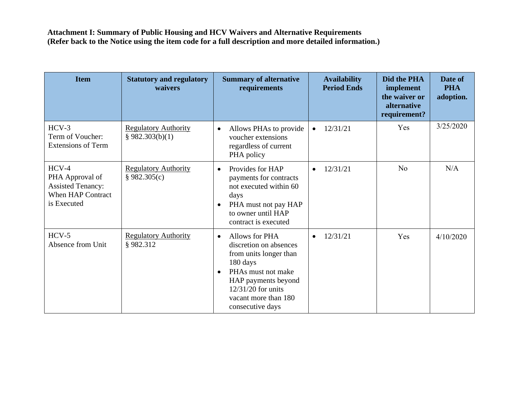| <b>Item</b>                                                                                       | <b>Statutory and regulatory</b><br>waivers     | <b>Summary of alternative</b><br>requirements                                                                                                                                                                           | <b>Availability</b><br><b>Period Ends</b> | Did the PHA<br>implement<br>the waiver or<br>alternative<br>requirement? | Date of<br><b>PHA</b><br>adoption. |
|---------------------------------------------------------------------------------------------------|------------------------------------------------|-------------------------------------------------------------------------------------------------------------------------------------------------------------------------------------------------------------------------|-------------------------------------------|--------------------------------------------------------------------------|------------------------------------|
| $HCV-3$<br>Term of Voucher:<br><b>Extensions of Term</b>                                          | <b>Regulatory Authority</b><br>§ 982.303(b)(1) | Allows PHAs to provide<br>$\bullet$<br>voucher extensions<br>regardless of current<br>PHA policy                                                                                                                        | 12/31/21<br>$\bullet$                     | Yes                                                                      | 3/25/2020                          |
| $HCV-4$<br>PHA Approval of<br><b>Assisted Tenancy:</b><br><b>When HAP Contract</b><br>is Executed | <b>Regulatory Authority</b><br>§ 982.305(c)    | Provides for HAP<br>$\bullet$<br>payments for contracts<br>not executed within 60<br>days<br>PHA must not pay HAP<br>$\bullet$<br>to owner until HAP<br>contract is executed                                            | 12/31/21<br>$\bullet$                     | N <sub>o</sub>                                                           | N/A                                |
| $HCV-5$<br>Absence from Unit                                                                      | <b>Regulatory Authority</b><br>§982.312        | Allows for PHA<br>$\bullet$<br>discretion on absences<br>from units longer than<br>180 days<br>PHAs must not make<br>$\bullet$<br>HAP payments beyond<br>12/31/20 for units<br>vacant more than 180<br>consecutive days | 12/31/21<br>$\bullet$                     | Yes                                                                      | 4/10/2020                          |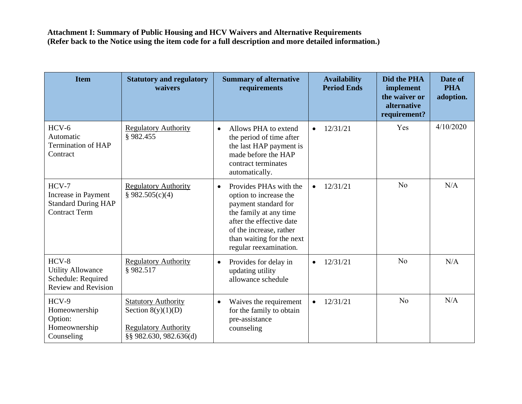| <b>Item</b>                                                                             | <b>Statutory and regulatory</b><br>waivers                                                                  | <b>Summary of alternative</b><br>requirements                                                                                                                                                                                 | <b>Availability</b><br><b>Period Ends</b> | Did the PHA<br>implement<br>the waiver or<br>alternative<br>requirement? | Date of<br><b>PHA</b><br>adoption. |
|-----------------------------------------------------------------------------------------|-------------------------------------------------------------------------------------------------------------|-------------------------------------------------------------------------------------------------------------------------------------------------------------------------------------------------------------------------------|-------------------------------------------|--------------------------------------------------------------------------|------------------------------------|
| $HCV-6$<br>Automatic<br><b>Termination of HAP</b><br>Contract                           | <b>Regulatory Authority</b><br>§982.455                                                                     | Allows PHA to extend<br>$\bullet$<br>the period of time after<br>the last HAP payment is<br>made before the HAP<br>contract terminates<br>automatically.                                                                      | 12/31/21<br>$\bullet$                     | Yes                                                                      | 4/10/2020                          |
| $HCV-7$<br>Increase in Payment<br><b>Standard During HAP</b><br><b>Contract Term</b>    | <b>Regulatory Authority</b><br>§ 982.505(c)(4)                                                              | Provides PHAs with the<br>$\bullet$<br>option to increase the<br>payment standard for<br>the family at any time<br>after the effective date<br>of the increase, rather<br>than waiting for the next<br>regular reexamination. | 12/31/21<br>$\bullet$                     | N <sub>o</sub>                                                           | N/A                                |
| $HCV-8$<br><b>Utility Allowance</b><br>Schedule: Required<br><b>Review and Revision</b> | <b>Regulatory Authority</b><br>§982.517                                                                     | Provides for delay in<br>$\bullet$<br>updating utility<br>allowance schedule                                                                                                                                                  | 12/31/21<br>$\bullet$                     | N <sub>o</sub>                                                           | N/A                                |
| $HCV-9$<br>Homeownership<br>Option:<br>Homeownership<br>Counseling                      | <b>Statutory Authority</b><br>Section $8(y)(1)(D)$<br><b>Regulatory Authority</b><br>§§ 982.630, 982.636(d) | Waives the requirement<br>$\bullet$<br>for the family to obtain<br>pre-assistance<br>counseling                                                                                                                               | 12/31/21<br>$\bullet$                     | No                                                                       | N/A                                |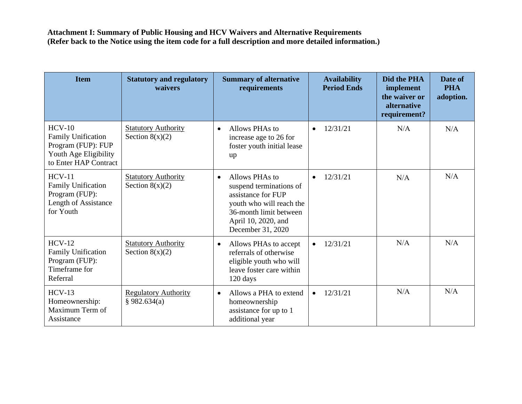| <b>Item</b>                                                                                                   | <b>Statutory and regulatory</b><br>waivers      | <b>Summary of alternative</b><br>requirements                                                                                                                                  | <b>Availability</b><br><b>Period Ends</b> | Did the PHA<br>implement<br>the waiver or<br>alternative<br>requirement? | Date of<br><b>PHA</b><br>adoption. |
|---------------------------------------------------------------------------------------------------------------|-------------------------------------------------|--------------------------------------------------------------------------------------------------------------------------------------------------------------------------------|-------------------------------------------|--------------------------------------------------------------------------|------------------------------------|
| $HCV-10$<br><b>Family Unification</b><br>Program (FUP): FUP<br>Youth Age Eligibility<br>to Enter HAP Contract | <b>Statutory Authority</b><br>Section $8(x)(2)$ | Allows PHAs to<br>$\bullet$<br>increase age to 26 for<br>foster youth initial lease<br>up                                                                                      | 12/31/21<br>$\bullet$                     | N/A                                                                      | N/A                                |
| $HCV-11$<br><b>Family Unification</b><br>Program (FUP):<br>Length of Assistance<br>for Youth                  | <b>Statutory Authority</b><br>Section $8(x)(2)$ | Allows PHAs to<br>$\bullet$<br>suspend terminations of<br>assistance for FUP<br>youth who will reach the<br>36-month limit between<br>April 10, 2020, and<br>December 31, 2020 | 12/31/21<br>$\bullet$                     | N/A                                                                      | N/A                                |
| $HCV-12$<br><b>Family Unification</b><br>Program (FUP):<br>Timeframe for<br>Referral                          | <b>Statutory Authority</b><br>Section $8(x)(2)$ | Allows PHAs to accept<br>$\bullet$<br>referrals of otherwise<br>eligible youth who will<br>leave foster care within<br>120 days                                                | 12/31/21<br>$\bullet$                     | N/A                                                                      | N/A                                |
| $HCV-13$<br>Homeownership:<br>Maximum Term of<br>Assistance                                                   | <b>Regulatory Authority</b><br>\$982.634(a)     | Allows a PHA to extend<br>$\bullet$<br>homeownership<br>assistance for up to 1<br>additional year                                                                              | 12/31/21<br>$\bullet$                     | N/A                                                                      | N/A                                |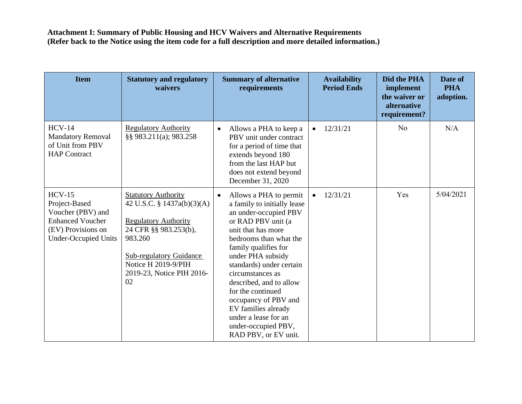| <b>Item</b>                                                                                                                    | <b>Statutory and regulatory</b><br>waivers                                                                                                                                                                              | <b>Summary of alternative</b><br>requirements                                                                                                                                                                                                                                                                                                                                                                                        | <b>Availability</b><br><b>Period Ends</b> | Did the PHA<br>implement<br>the waiver or<br>alternative<br>requirement? | Date of<br><b>PHA</b><br>adoption. |
|--------------------------------------------------------------------------------------------------------------------------------|-------------------------------------------------------------------------------------------------------------------------------------------------------------------------------------------------------------------------|--------------------------------------------------------------------------------------------------------------------------------------------------------------------------------------------------------------------------------------------------------------------------------------------------------------------------------------------------------------------------------------------------------------------------------------|-------------------------------------------|--------------------------------------------------------------------------|------------------------------------|
| $HCV-14$<br><b>Mandatory Removal</b><br>of Unit from PBV<br><b>HAP Contract</b>                                                | <b>Regulatory Authority</b><br>§§ 983.211(a); 983.258                                                                                                                                                                   | Allows a PHA to keep a<br>$\bullet$<br>PBV unit under contract<br>for a period of time that<br>extends beyond 180<br>from the last HAP but<br>does not extend beyond<br>December 31, 2020                                                                                                                                                                                                                                            | 12/31/21<br>$\bullet$                     | N <sub>o</sub>                                                           | N/A                                |
| $HCV-15$<br>Project-Based<br>Voucher (PBV) and<br><b>Enhanced Voucher</b><br>(EV) Provisions on<br><b>Under-Occupied Units</b> | <b>Statutory Authority</b><br>42 U.S.C. § 1437a(b)(3)(A)<br><b>Regulatory Authority</b><br>24 CFR §§ 983.253(b),<br>983.260<br><b>Sub-regulatory Guidance</b><br>Notice H 2019-9/PIH<br>2019-23, Notice PIH 2016-<br>02 | Allows a PHA to permit<br>$\bullet$<br>a family to initially lease<br>an under-occupied PBV<br>or RAD PBV unit (a<br>unit that has more<br>bedrooms than what the<br>family qualifies for<br>under PHA subsidy<br>standards) under certain<br>circumstances as<br>described, and to allow<br>for the continued<br>occupancy of PBV and<br>EV families already<br>under a lease for an<br>under-occupied PBV,<br>RAD PBV, or EV unit. | 12/31/21                                  | Yes                                                                      | 5/04/2021                          |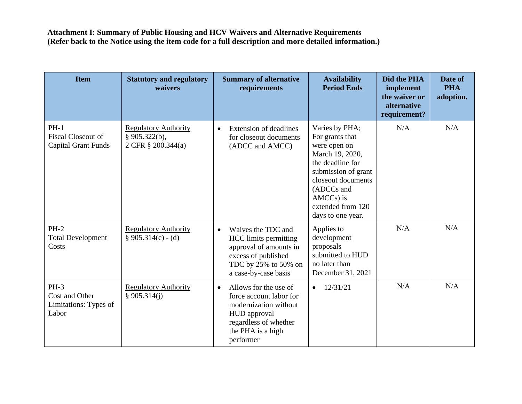| <b>Item</b>                                                       | <b>Statutory and regulatory</b><br>waivers                            | <b>Summary of alternative</b><br>requirements                                                                                                                     | <b>Availability</b><br><b>Period Ends</b>                                                                                                                                                                     | Did the PHA<br>implement<br>the waiver or<br>alternative<br>requirement? | Date of<br><b>PHA</b><br>adoption. |
|-------------------------------------------------------------------|-----------------------------------------------------------------------|-------------------------------------------------------------------------------------------------------------------------------------------------------------------|---------------------------------------------------------------------------------------------------------------------------------------------------------------------------------------------------------------|--------------------------------------------------------------------------|------------------------------------|
| $PH-1$<br><b>Fiscal Closeout of</b><br><b>Capital Grant Funds</b> | <b>Regulatory Authority</b><br>§ $905.322(b)$ ,<br>2 CFR § 200.344(a) | <b>Extension of deadlines</b><br>$\bullet$<br>for closeout documents<br>(ADCC and AMCC)                                                                           | Varies by PHA;<br>For grants that<br>were open on<br>March 19, 2020,<br>the deadline for<br>submission of grant<br>closeout documents<br>(ADCCs and<br>$AMCCs$ ) is<br>extended from 120<br>days to one year. | N/A                                                                      | N/A                                |
| $PH-2$<br><b>Total Development</b><br>Costs                       | <b>Regulatory Authority</b><br>$§ 905.314(c) - (d)$                   | Waives the TDC and<br>$\bullet$<br><b>HCC</b> limits permitting<br>approval of amounts in<br>excess of published<br>TDC by 25% to 50% on<br>a case-by-case basis  | Applies to<br>development<br>proposals<br>submitted to HUD<br>no later than<br>December 31, 2021                                                                                                              | N/A                                                                      | N/A                                |
| $PH-3$<br>Cost and Other<br>Limitations: Types of<br>Labor        | <b>Regulatory Authority</b><br>\$905.314(i)                           | Allows for the use of<br>$\bullet$<br>force account labor for<br>modernization without<br>HUD approval<br>regardless of whether<br>the PHA is a high<br>performer | 12/31/21<br>$\bullet$                                                                                                                                                                                         | N/A                                                                      | N/A                                |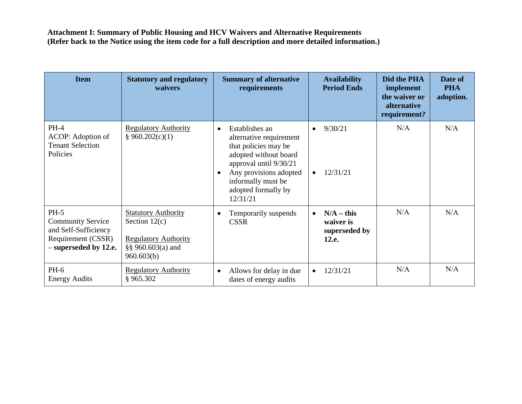| <b>Item</b>                                                                                               | <b>Statutory and regulatory</b><br>waivers                                                                          | <b>Summary of alternative</b><br>requirements                                                                                                                                                                                     | <b>Availability</b><br><b>Period Ends</b>           | Did the PHA<br>implement<br>the waiver or<br>alternative<br>requirement? | Date of<br><b>PHA</b><br>adoption. |
|-----------------------------------------------------------------------------------------------------------|---------------------------------------------------------------------------------------------------------------------|-----------------------------------------------------------------------------------------------------------------------------------------------------------------------------------------------------------------------------------|-----------------------------------------------------|--------------------------------------------------------------------------|------------------------------------|
| <b>PH-4</b><br>ACOP: Adoption of<br><b>Tenant Selection</b><br>Policies                                   | <b>Regulatory Authority</b><br>\$960.202(c)(1)                                                                      | Establishes an<br>$\bullet$<br>alternative requirement<br>that policies may be<br>adopted without board<br>approval until 9/30/21<br>Any provisions adopted<br>$\bullet$<br>informally must be<br>adopted formally by<br>12/31/21 | 9/30/21<br>$\bullet$<br>12/31/21<br>$\bullet$       | N/A                                                                      | N/A                                |
| $PH-5$<br><b>Community Service</b><br>and Self-Sufficiency<br>Requirement (CSSR)<br>- superseded by 12.e. | <b>Statutory Authority</b><br>Section $12(c)$<br><b>Regulatory Authority</b><br>$\S$ § 960.603(a) and<br>960.603(b) | Temporarily suspends<br>$\bullet$<br><b>CSSR</b>                                                                                                                                                                                  | $N/A - this$<br>waiver is<br>superseded by<br>12.e. | N/A                                                                      | N/A                                |
| PH-6<br><b>Energy Audits</b>                                                                              | <b>Regulatory Authority</b><br>§965.302                                                                             | Allows for delay in due<br>$\bullet$<br>dates of energy audits                                                                                                                                                                    | 12/31/21                                            | N/A                                                                      | N/A                                |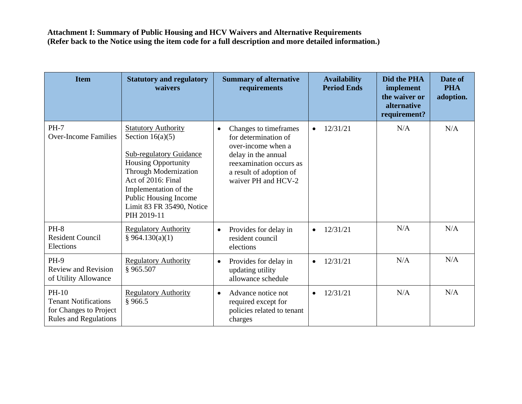| <b>Item</b>                                                                                      | <b>Statutory and regulatory</b><br>waivers                                                                                                                                                                                                                    | <b>Summary of alternative</b><br>requirements                                                                                                                                         | <b>Availability</b><br><b>Period Ends</b> | <b>Did the PHA</b><br>implement<br>the waiver or<br>alternative<br>requirement? | Date of<br><b>PHA</b><br>adoption. |
|--------------------------------------------------------------------------------------------------|---------------------------------------------------------------------------------------------------------------------------------------------------------------------------------------------------------------------------------------------------------------|---------------------------------------------------------------------------------------------------------------------------------------------------------------------------------------|-------------------------------------------|---------------------------------------------------------------------------------|------------------------------------|
| <b>PH-7</b><br><b>Over-Income Families</b>                                                       | <b>Statutory Authority</b><br>Section $16(a)(5)$<br><b>Sub-regulatory Guidance</b><br><b>Housing Opportunity</b><br>Through Modernization<br>Act of 2016: Final<br>Implementation of the<br>Public Housing Income<br>Limit 83 FR 35490, Notice<br>PIH 2019-11 | Changes to time frames<br>$\bullet$<br>for determination of<br>over-income when a<br>delay in the annual<br>reexamination occurs as<br>a result of adoption of<br>waiver PH and HCV-2 | 12/31/21<br>$\bullet$                     | N/A                                                                             | N/A                                |
| $PH-8$<br><b>Resident Council</b><br>Elections                                                   | <b>Regulatory Authority</b><br>§ 964.130(a)(1)                                                                                                                                                                                                                | Provides for delay in<br>$\bullet$<br>resident council<br>elections                                                                                                                   | 12/31/21<br>$\bullet$                     | N/A                                                                             | N/A                                |
| <b>PH-9</b><br><b>Review and Revision</b><br>of Utility Allowance                                | <b>Regulatory Authority</b><br>§ 965.507                                                                                                                                                                                                                      | Provides for delay in<br>$\bullet$<br>updating utility<br>allowance schedule                                                                                                          | 12/31/21<br>$\bullet$                     | N/A                                                                             | N/A                                |
| $PH-10$<br><b>Tenant Notifications</b><br>for Changes to Project<br><b>Rules and Regulations</b> | <b>Regulatory Authority</b><br>§966.5                                                                                                                                                                                                                         | Advance notice not<br>$\bullet$<br>required except for<br>policies related to tenant<br>charges                                                                                       | 12/31/21                                  | N/A                                                                             | N/A                                |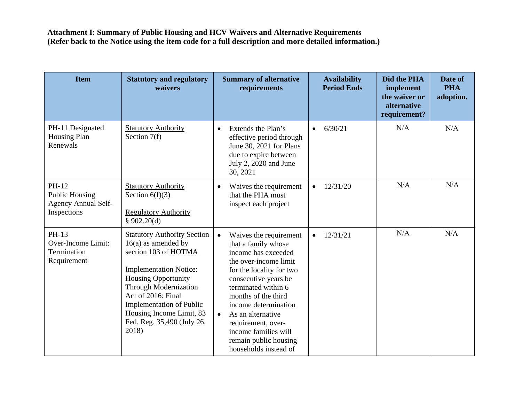| <b>Item</b>                                                                 | <b>Statutory and regulatory</b><br>waivers                                                                                                                                                                                                                                                                     | <b>Summary of alternative</b><br>requirements                                                                                                                                                                                                                                                                                                                          | <b>Availability</b><br><b>Period Ends</b> | Did the PHA<br>implement<br>the waiver or<br>alternative<br>requirement? | Date of<br><b>PHA</b><br>adoption. |
|-----------------------------------------------------------------------------|----------------------------------------------------------------------------------------------------------------------------------------------------------------------------------------------------------------------------------------------------------------------------------------------------------------|------------------------------------------------------------------------------------------------------------------------------------------------------------------------------------------------------------------------------------------------------------------------------------------------------------------------------------------------------------------------|-------------------------------------------|--------------------------------------------------------------------------|------------------------------------|
| PH-11 Designated<br><b>Housing Plan</b><br>Renewals                         | <b>Statutory Authority</b><br>Section $7(f)$                                                                                                                                                                                                                                                                   | Extends the Plan's<br>$\bullet$<br>effective period through<br>June 30, 2021 for Plans<br>due to expire between<br>July 2, 2020 and June<br>30, 2021                                                                                                                                                                                                                   | 6/30/21<br>$\bullet$                      | N/A                                                                      | N/A                                |
| PH-12<br><b>Public Housing</b><br><b>Agency Annual Self-</b><br>Inspections | <b>Statutory Authority</b><br>Section $6(f)(3)$<br><b>Regulatory Authority</b><br>§ $902.20(d)$                                                                                                                                                                                                                | Waives the requirement<br>$\bullet$<br>that the PHA must<br>inspect each project                                                                                                                                                                                                                                                                                       | 12/31/20<br>$\bullet$                     | N/A                                                                      | N/A                                |
| PH-13<br>Over-Income Limit:<br>Termination<br>Requirement                   | <b>Statutory Authority Section</b><br>$16(a)$ as amended by<br>section 103 of HOTMA<br><b>Implementation Notice:</b><br><b>Housing Opportunity</b><br><b>Through Modernization</b><br>Act of 2016: Final<br><b>Implementation of Public</b><br>Housing Income Limit, 83<br>Fed. Reg. 35,490 (July 26,<br>2018) | $\bullet$<br>Waives the requirement<br>that a family whose<br>income has exceeded<br>the over-income limit<br>for the locality for two<br>consecutive years be<br>terminated within 6<br>months of the third<br>income determination<br>As an alternative<br>$\bullet$<br>requirement, over-<br>income families will<br>remain public housing<br>households instead of | 12/31/21<br>$\bullet$                     | N/A                                                                      | N/A                                |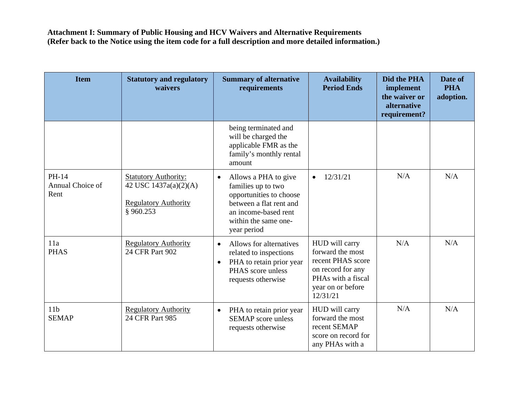| <b>Item</b>                       | <b>Statutory and regulatory</b><br>waivers                                                       | <b>Summary of alternative</b><br>requirements                                                                                                                                | <b>Availability</b><br><b>Period Ends</b>                                                                                           | Did the PHA<br>implement<br>the waiver or<br>alternative<br>requirement? | Date of<br><b>PHA</b><br>adoption. |
|-----------------------------------|--------------------------------------------------------------------------------------------------|------------------------------------------------------------------------------------------------------------------------------------------------------------------------------|-------------------------------------------------------------------------------------------------------------------------------------|--------------------------------------------------------------------------|------------------------------------|
|                                   |                                                                                                  | being terminated and<br>will be charged the<br>applicable FMR as the<br>family's monthly rental<br>amount                                                                    |                                                                                                                                     |                                                                          |                                    |
| PH-14<br>Annual Choice of<br>Rent | <b>Statutory Authority:</b><br>42 USC 1437a(a)(2)(A)<br><b>Regulatory Authority</b><br>§ 960.253 | Allows a PHA to give<br>$\bullet$<br>families up to two<br>opportunities to choose<br>between a flat rent and<br>an income-based rent<br>within the same one-<br>year period | 12/31/21<br>$\bullet$                                                                                                               | N/A                                                                      | N/A                                |
| 11a<br><b>PHAS</b>                | <b>Regulatory Authority</b><br>24 CFR Part 902                                                   | Allows for alternatives<br>$\bullet$<br>related to inspections<br>PHA to retain prior year<br>$\bullet$<br>PHAS score unless<br>requests otherwise                           | HUD will carry<br>forward the most<br>recent PHAS score<br>on record for any<br>PHAs with a fiscal<br>year on or before<br>12/31/21 | N/A                                                                      | N/A                                |
| 11 <sub>b</sub><br><b>SEMAP</b>   | <b>Regulatory Authority</b><br>24 CFR Part 985                                                   | PHA to retain prior year<br>$\bullet$<br><b>SEMAP</b> score unless<br>requests otherwise                                                                                     | HUD will carry<br>forward the most<br>recent SEMAP<br>score on record for<br>any PHAs with a                                        | N/A                                                                      | N/A                                |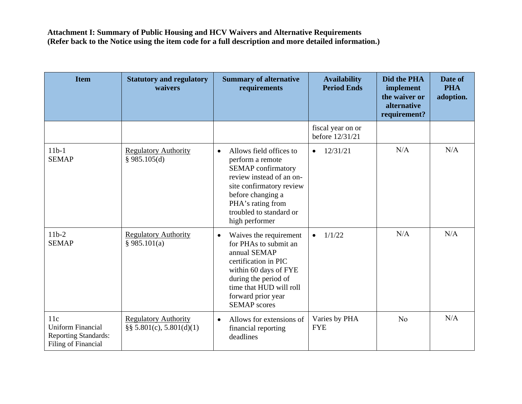| <b>Item</b>                                                                           | <b>Statutory and regulatory</b><br>waivers                  | <b>Summary of alternative</b><br>requirements                                                                                                                                                                                        | <b>Availability</b><br><b>Period Ends</b> | Did the PHA<br>implement<br>the waiver or<br>alternative<br>requirement? | Date of<br><b>PHA</b><br>adoption. |
|---------------------------------------------------------------------------------------|-------------------------------------------------------------|--------------------------------------------------------------------------------------------------------------------------------------------------------------------------------------------------------------------------------------|-------------------------------------------|--------------------------------------------------------------------------|------------------------------------|
|                                                                                       |                                                             |                                                                                                                                                                                                                                      | fiscal year on or<br>before 12/31/21      |                                                                          |                                    |
| $11b-1$<br><b>SEMAP</b>                                                               | <b>Regulatory Authority</b><br>§ 985.105(d)                 | Allows field offices to<br>$\bullet$<br>perform a remote<br><b>SEMAP</b> confirmatory<br>review instead of an on-<br>site confirmatory review<br>before changing a<br>PHA's rating from<br>troubled to standard or<br>high performer | 12/31/21<br>$\bullet$                     | N/A                                                                      | N/A                                |
| $11b-2$<br><b>SEMAP</b>                                                               | <b>Regulatory Authority</b><br>§ 985.101(a)                 | Waives the requirement<br>$\bullet$<br>for PHAs to submit an<br>annual SEMAP<br>certification in PIC<br>within 60 days of FYE<br>during the period of<br>time that HUD will roll<br>forward prior year<br><b>SEMAP</b> scores        | 1/1/22<br>$\bullet$                       | N/A                                                                      | N/A                                |
| 11c<br><b>Uniform Financial</b><br><b>Reporting Standards:</b><br>Filing of Financial | <b>Regulatory Authority</b><br>$\S$ § 5.801(c), 5.801(d)(1) | Allows for extensions of<br>$\bullet$<br>financial reporting<br>deadlines                                                                                                                                                            | Varies by PHA<br><b>FYE</b>               | N <sub>o</sub>                                                           | N/A                                |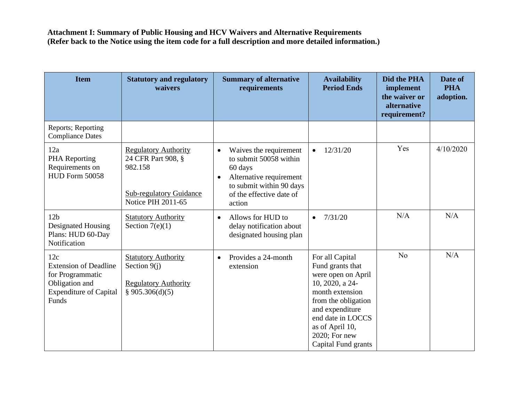| <b>Item</b>                                                                                                         | <b>Statutory and regulatory</b><br>waivers                                                                           | <b>Summary of alternative</b><br>requirements                                                                                                                                      | <b>Availability</b><br><b>Period Ends</b>                                                                                                                                                                                 | Did the PHA<br>implement<br>the waiver or<br>alternative<br>requirement? | Date of<br><b>PHA</b><br>adoption. |
|---------------------------------------------------------------------------------------------------------------------|----------------------------------------------------------------------------------------------------------------------|------------------------------------------------------------------------------------------------------------------------------------------------------------------------------------|---------------------------------------------------------------------------------------------------------------------------------------------------------------------------------------------------------------------------|--------------------------------------------------------------------------|------------------------------------|
| Reports; Reporting<br><b>Compliance Dates</b>                                                                       |                                                                                                                      |                                                                                                                                                                                    |                                                                                                                                                                                                                           |                                                                          |                                    |
| 12a<br>PHA Reporting<br>Requirements on<br>HUD Form 50058                                                           | <b>Regulatory Authority</b><br>24 CFR Part 908, §<br>982.158<br><b>Sub-regulatory Guidance</b><br>Notice PIH 2011-65 | Waives the requirement<br>$\bullet$<br>to submit 50058 within<br>60 days<br>Alternative requirement<br>$\bullet$<br>to submit within 90 days<br>of the effective date of<br>action | 12/31/20                                                                                                                                                                                                                  | Yes                                                                      | 4/10/2020                          |
| 12 <sub>b</sub><br>Designated Housing<br>Plans: HUD 60-Day<br>Notification                                          | <b>Statutory Authority</b><br>Section $7(e)(1)$                                                                      | Allows for HUD to<br>$\bullet$<br>delay notification about<br>designated housing plan                                                                                              | 7/31/20<br>$\bullet$                                                                                                                                                                                                      | N/A                                                                      | N/A                                |
| 12c<br><b>Extension of Deadline</b><br>for Programmatic<br>Obligation and<br><b>Expenditure of Capital</b><br>Funds | <b>Statutory Authority</b><br>Section $9(i)$<br><b>Regulatory Authority</b><br>§ 905.306(d)(5)                       | Provides a 24-month<br>$\bullet$<br>extension                                                                                                                                      | For all Capital<br>Fund grants that<br>were open on April<br>10, 2020, a 24-<br>month extension<br>from the obligation<br>and expenditure<br>end date in LOCCS<br>as of April 10,<br>2020; For new<br>Capital Fund grants | N <sub>o</sub>                                                           | N/A                                |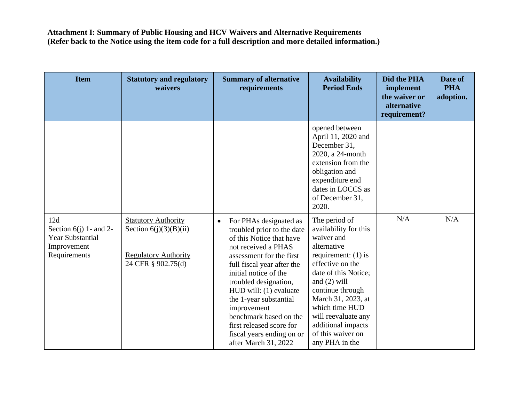| <b>Item</b>                                                                               | <b>Statutory and regulatory</b><br>waivers                                                                  | <b>Summary of alternative</b><br>requirements                                                                                                                                                                                                                                                                                                                                                                  | <b>Availability</b><br><b>Period Ends</b>                                                                                                                                                                                                                                                                  | Did the PHA<br>implement<br>the waiver or<br>alternative<br>requirement? | Date of<br><b>PHA</b><br>adoption. |
|-------------------------------------------------------------------------------------------|-------------------------------------------------------------------------------------------------------------|----------------------------------------------------------------------------------------------------------------------------------------------------------------------------------------------------------------------------------------------------------------------------------------------------------------------------------------------------------------------------------------------------------------|------------------------------------------------------------------------------------------------------------------------------------------------------------------------------------------------------------------------------------------------------------------------------------------------------------|--------------------------------------------------------------------------|------------------------------------|
|                                                                                           |                                                                                                             |                                                                                                                                                                                                                                                                                                                                                                                                                | opened between<br>April 11, 2020 and<br>December 31,<br>2020, a 24-month<br>extension from the<br>obligation and<br>expenditure end<br>dates in LOCCS as<br>of December 31,<br>2020.                                                                                                                       |                                                                          |                                    |
| 12d<br>Section $6(j)$ 1- and 2-<br><b>Year Substantial</b><br>Improvement<br>Requirements | <b>Statutory Authority</b><br>Section $6(j)(3)(B)(ii)$<br><b>Regulatory Authority</b><br>24 CFR § 902.75(d) | For PHAs designated as<br>$\bullet$<br>troubled prior to the date<br>of this Notice that have<br>not received a PHAS<br>assessment for the first<br>full fiscal year after the<br>initial notice of the<br>troubled designation,<br>HUD will: (1) evaluate<br>the 1-year substantial<br>improvement<br>benchmark based on the<br>first released score for<br>fiscal years ending on or<br>after March 31, 2022 | The period of<br>availability for this<br>waiver and<br>alternative<br>requirement: $(1)$ is<br>effective on the<br>date of this Notice;<br>and $(2)$ will<br>continue through<br>March 31, 2023, at<br>which time HUD<br>will reevaluate any<br>additional impacts<br>of this waiver on<br>any PHA in the | N/A                                                                      | N/A                                |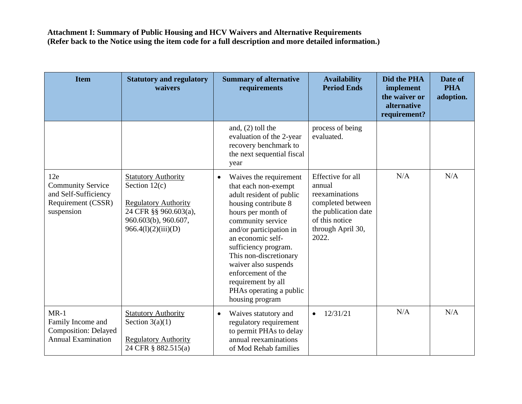| <b>Item</b>                                                                                 | <b>Statutory and regulatory</b><br>waivers                                                                                                           | <b>Summary of alternative</b><br>requirements                                                                                                                                                                                                                                                                                                                                  | <b>Availability</b><br><b>Period Ends</b>                                                                                                  | Did the PHA<br>implement<br>the waiver or<br>alternative<br>requirement? | Date of<br><b>PHA</b><br>adoption. |
|---------------------------------------------------------------------------------------------|------------------------------------------------------------------------------------------------------------------------------------------------------|--------------------------------------------------------------------------------------------------------------------------------------------------------------------------------------------------------------------------------------------------------------------------------------------------------------------------------------------------------------------------------|--------------------------------------------------------------------------------------------------------------------------------------------|--------------------------------------------------------------------------|------------------------------------|
|                                                                                             |                                                                                                                                                      | and, $(2)$ toll the<br>evaluation of the 2-year<br>recovery benchmark to<br>the next sequential fiscal<br>year                                                                                                                                                                                                                                                                 | process of being<br>evaluated.                                                                                                             |                                                                          |                                    |
| 12e<br><b>Community Service</b><br>and Self-Sufficiency<br>Requirement (CSSR)<br>suspension | <b>Statutory Authority</b><br>Section $12(c)$<br><b>Regulatory Authority</b><br>24 CFR §§ 960.603(a),<br>960.603(b), 960.607,<br>966.4(l)(2)(iii)(D) | Waives the requirement<br>$\bullet$<br>that each non-exempt<br>adult resident of public<br>housing contribute 8<br>hours per month of<br>community service<br>and/or participation in<br>an economic self-<br>sufficiency program.<br>This non-discretionary<br>waiver also suspends<br>enforcement of the<br>requirement by all<br>PHAs operating a public<br>housing program | Effective for all<br>annual<br>reexaminations<br>completed between<br>the publication date<br>of this notice<br>through April 30,<br>2022. | N/A                                                                      | N/A                                |
| $MR-1$<br>Family Income and<br><b>Composition: Delayed</b><br><b>Annual Examination</b>     | <b>Statutory Authority</b><br>Section $3(a)(1)$<br><b>Regulatory Authority</b><br>24 CFR § 882.515(a)                                                | Waives statutory and<br>$\bullet$<br>regulatory requirement<br>to permit PHAs to delay<br>annual reexaminations<br>of Mod Rehab families                                                                                                                                                                                                                                       | 12/31/21<br>$\bullet$                                                                                                                      | N/A                                                                      | N/A                                |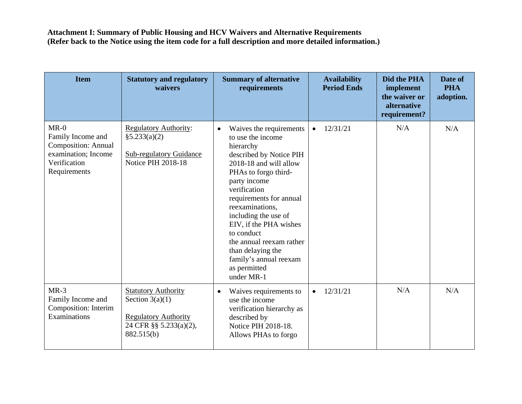| <b>Item</b>                                                                                                      | <b>Statutory and regulatory</b><br>waivers                                                                             | <b>Summary of alternative</b><br>requirements                                                                                                                                                                                                                                                                                                                                                              | <b>Availability</b><br><b>Period Ends</b> | Did the PHA<br>implement<br>the waiver or<br>alternative<br>requirement? | Date of<br><b>PHA</b><br>adoption. |
|------------------------------------------------------------------------------------------------------------------|------------------------------------------------------------------------------------------------------------------------|------------------------------------------------------------------------------------------------------------------------------------------------------------------------------------------------------------------------------------------------------------------------------------------------------------------------------------------------------------------------------------------------------------|-------------------------------------------|--------------------------------------------------------------------------|------------------------------------|
| $MR-0$<br>Family Income and<br><b>Composition: Annual</b><br>examination; Income<br>Verification<br>Requirements | <b>Regulatory Authority:</b><br>§5.233(a)(2)<br><b>Sub-regulatory Guidance</b><br>Notice PIH 2018-18                   | Waives the requirements<br>$\bullet$<br>to use the income<br>hierarchy<br>described by Notice PIH<br>2018-18 and will allow<br>PHAs to forgo third-<br>party income<br>verification<br>requirements for annual<br>reexaminations,<br>including the use of<br>EIV, if the PHA wishes<br>to conduct<br>the annual reexam rather<br>than delaying the<br>family's annual reexam<br>as permitted<br>under MR-1 | 12/31/21<br>$\bullet$                     | N/A                                                                      | N/A                                |
| $MR-3$<br>Family Income and<br>Composition: Interim<br>Examinations                                              | <b>Statutory Authority</b><br>Section $3(a)(1)$<br><b>Regulatory Authority</b><br>24 CFR §§ 5.233(a)(2),<br>882.515(b) | Waives requirements to<br>$\bullet$<br>use the income<br>verification hierarchy as<br>described by<br>Notice PIH 2018-18.<br>Allows PHAs to forgo                                                                                                                                                                                                                                                          | 12/31/21<br>$\bullet$                     | N/A                                                                      | N/A                                |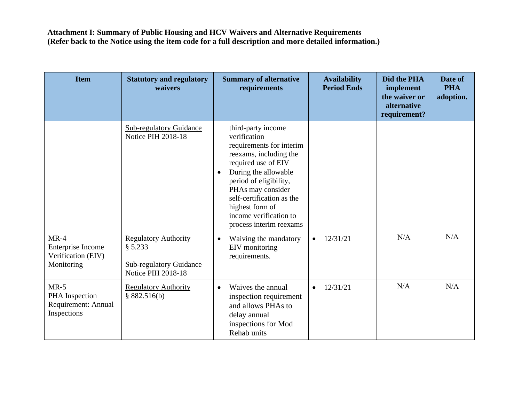| <b>Item</b>                                                     | <b>Statutory and regulatory</b><br>waivers                                                     | <b>Summary of alternative</b><br>requirements                                                                                                                                                                                                                                                            | <b>Availability</b><br><b>Period Ends</b> | Did the PHA<br>implement<br>the waiver or<br>alternative<br>requirement? | Date of<br><b>PHA</b><br>adoption. |
|-----------------------------------------------------------------|------------------------------------------------------------------------------------------------|----------------------------------------------------------------------------------------------------------------------------------------------------------------------------------------------------------------------------------------------------------------------------------------------------------|-------------------------------------------|--------------------------------------------------------------------------|------------------------------------|
|                                                                 | <b>Sub-regulatory Guidance</b><br><b>Notice PIH 2018-18</b>                                    | third-party income<br>verification<br>requirements for interim<br>reexams, including the<br>required use of EIV<br>During the allowable<br>$\bullet$<br>period of eligibility,<br>PHAs may consider<br>self-certification as the<br>highest form of<br>income verification to<br>process interim reexams |                                           |                                                                          |                                    |
| $MR-4$<br>Enterprise Income<br>Verification (EIV)<br>Monitoring | <b>Regulatory Authority</b><br>§ 5.233<br><b>Sub-regulatory Guidance</b><br>Notice PIH 2018-18 | Waiving the mandatory<br>$\bullet$<br>EIV monitoring<br>requirements.                                                                                                                                                                                                                                    | 12/31/21<br>$\bullet$                     | N/A                                                                      | N/A                                |
| $MR-5$<br>PHA Inspection<br>Requirement: Annual<br>Inspections  | <b>Regulatory Authority</b><br>§ 882.516(b)                                                    | Waives the annual<br>$\bullet$<br>inspection requirement<br>and allows PHAs to<br>delay annual<br>inspections for Mod<br>Rehab units                                                                                                                                                                     | 12/31/21<br>$\bullet$                     | N/A                                                                      | N/A                                |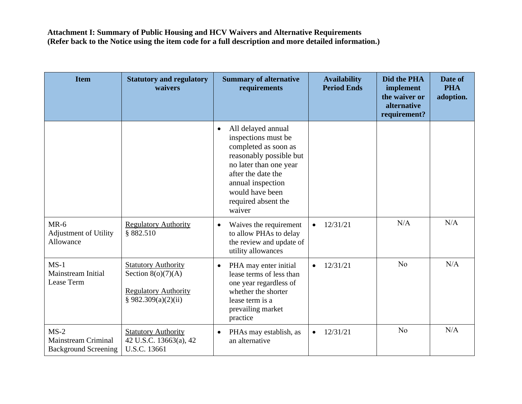| <b>Item</b>                                                  | <b>Statutory and regulatory</b><br>waivers                                                               | <b>Summary of alternative</b><br>requirements                                                                                                                                                                                      | <b>Availability</b><br><b>Period Ends</b> | Did the PHA<br>implement<br>the waiver or<br>alternative<br>requirement? | Date of<br><b>PHA</b><br>adoption. |
|--------------------------------------------------------------|----------------------------------------------------------------------------------------------------------|------------------------------------------------------------------------------------------------------------------------------------------------------------------------------------------------------------------------------------|-------------------------------------------|--------------------------------------------------------------------------|------------------------------------|
|                                                              |                                                                                                          | All delayed annual<br>$\bullet$<br>inspections must be<br>completed as soon as<br>reasonably possible but<br>no later than one year<br>after the date the<br>annual inspection<br>would have been<br>required absent the<br>waiver |                                           |                                                                          |                                    |
| $MR-6$<br><b>Adjustment of Utility</b><br>Allowance          | <b>Regulatory Authority</b><br>§ 882.510                                                                 | Waives the requirement<br>$\bullet$<br>to allow PHAs to delay<br>the review and update of<br>utility allowances                                                                                                                    | 12/31/21<br>$\bullet$                     | N/A                                                                      | N/A                                |
| $MS-1$<br>Mainstream Initial<br>Lease Term                   | <b>Statutory Authority</b><br>Section $8(o)(7)(A)$<br><b>Regulatory Authority</b><br>§ 982.309(a)(2)(ii) | PHA may enter initial<br>$\bullet$<br>lease terms of less than<br>one year regardless of<br>whether the shorter<br>lease term is a<br>prevailing market<br>practice                                                                | 12/31/21<br>$\bullet$                     | N <sub>o</sub>                                                           | N/A                                |
| $MS-2$<br>Mainstream Criminal<br><b>Background Screening</b> | <b>Statutory Authority</b><br>42 U.S.C. 13663(a), 42<br>U.S.C. 13661                                     | PHAs may establish, as<br>$\bullet$<br>an alternative                                                                                                                                                                              | 12/31/21<br>$\bullet$                     | N <sub>o</sub>                                                           | N/A                                |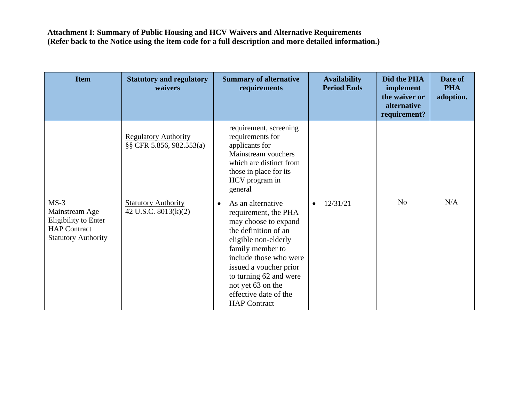| <b>Item</b>                                                                                           | <b>Statutory and regulatory</b><br>waivers              | <b>Summary of alternative</b><br>requirements                                                                                                                                                                                                                                                         | <b>Availability</b><br><b>Period Ends</b> | Did the PHA<br>implement<br>the waiver or<br>alternative<br>requirement? | Date of<br><b>PHA</b><br>adoption. |
|-------------------------------------------------------------------------------------------------------|---------------------------------------------------------|-------------------------------------------------------------------------------------------------------------------------------------------------------------------------------------------------------------------------------------------------------------------------------------------------------|-------------------------------------------|--------------------------------------------------------------------------|------------------------------------|
|                                                                                                       | <b>Regulatory Authority</b><br>§§ CFR 5.856, 982.553(a) | requirement, screening<br>requirements for<br>applicants for<br>Mainstream vouchers<br>which are distinct from<br>those in place for its<br>HCV program in<br>general                                                                                                                                 |                                           |                                                                          |                                    |
| $MS-3$<br>Mainstream Age<br>Eligibility to Enter<br><b>HAP</b> Contract<br><b>Statutory Authority</b> | <b>Statutory Authority</b><br>42 U.S.C. $8013(k)(2)$    | As an alternative<br>$\bullet$<br>requirement, the PHA<br>may choose to expand<br>the definition of an<br>eligible non-elderly<br>family member to<br>include those who were<br>issued a voucher prior<br>to turning 62 and were<br>not yet 63 on the<br>effective date of the<br><b>HAP</b> Contract | 12/31/21<br>$\bullet$                     | N <sub>o</sub>                                                           | N/A                                |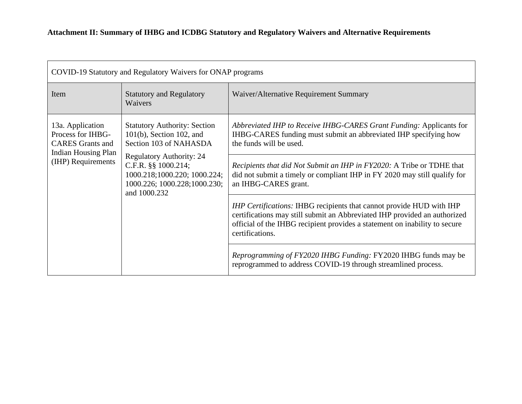| COVID-19 Statutory and Regulatory Waivers for ONAP programs                                                                                                   |                                                                                                                                                                            |                                                                                                                                                                                                                                                    |  |
|---------------------------------------------------------------------------------------------------------------------------------------------------------------|----------------------------------------------------------------------------------------------------------------------------------------------------------------------------|----------------------------------------------------------------------------------------------------------------------------------------------------------------------------------------------------------------------------------------------------|--|
| Item                                                                                                                                                          | <b>Statutory and Regulatory</b><br>Waivers                                                                                                                                 | Waiver/Alternative Requirement Summary                                                                                                                                                                                                             |  |
| 13a. Application<br>Process for IHBG-<br><b>CARES</b> Grants and<br><b>Indian Housing Plan</b>                                                                | <b>Statutory Authority: Section</b><br>$101(b)$ , Section 102, and<br>Section 103 of NAHASDA                                                                               | Abbreviated IHP to Receive IHBG-CARES Grant Funding: Applicants for<br>IHBG-CARES funding must submit an abbreviated IHP specifying how<br>the funds will be used.                                                                                 |  |
| <b>Regulatory Authority: 24</b><br>(IHP) Requirements<br>C.F.R. §§ 1000.214;<br>1000.218;1000.220; 1000.224;<br>1000.226; 1000.228; 1000.230;<br>and 1000.232 | Recipients that did Not Submit an IHP in FY2020: A Tribe or TDHE that<br>did not submit a timely or compliant IHP in FY 2020 may still qualify for<br>an IHBG-CARES grant. |                                                                                                                                                                                                                                                    |  |
|                                                                                                                                                               |                                                                                                                                                                            | IHP Certifications: IHBG recipients that cannot provide HUD with IHP<br>certifications may still submit an Abbreviated IHP provided an authorized<br>official of the IHBG recipient provides a statement on inability to secure<br>certifications. |  |
|                                                                                                                                                               |                                                                                                                                                                            | <i>Reprogramming of FY2020 IHBG Funding: FY2020 IHBG funds may be</i><br>reprogrammed to address COVID-19 through streamlined process.                                                                                                             |  |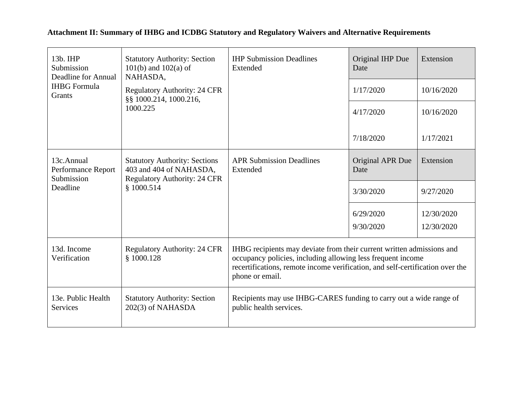| 13b. IHP<br>Submission<br>Deadline for Annual                                                                                                            | <b>Statutory Authority: Section</b><br>$101(b)$ and $102(a)$ of<br>NAHASDA, | <b>IHP Submission Deadlines</b><br>Extended                                                                                                                                                                                              | Original IHP Due<br>Date | Extension  |
|----------------------------------------------------------------------------------------------------------------------------------------------------------|-----------------------------------------------------------------------------|------------------------------------------------------------------------------------------------------------------------------------------------------------------------------------------------------------------------------------------|--------------------------|------------|
| <b>IHBG</b> Formula<br><b>Grants</b>                                                                                                                     | <b>Regulatory Authority: 24 CFR</b><br>§§ 1000.214, 1000.216,               |                                                                                                                                                                                                                                          | 1/17/2020                | 10/16/2020 |
|                                                                                                                                                          | 1000.225                                                                    |                                                                                                                                                                                                                                          | 4/17/2020                | 10/16/2020 |
|                                                                                                                                                          |                                                                             |                                                                                                                                                                                                                                          | 7/18/2020                | 1/17/2021  |
| 13c.Annual<br><b>Statutory Authority: Sections</b><br>403 and 404 of NAHASDA,<br>Performance Report<br>Submission<br><b>Regulatory Authority: 24 CFR</b> | <b>APR Submission Deadlines</b><br>Extended                                 | Original APR Due<br>Date                                                                                                                                                                                                                 | Extension                |            |
| Deadline                                                                                                                                                 | \$1000.514                                                                  |                                                                                                                                                                                                                                          | 3/30/2020                | 9/27/2020  |
|                                                                                                                                                          |                                                                             |                                                                                                                                                                                                                                          | 6/29/2020                | 12/30/2020 |
|                                                                                                                                                          |                                                                             |                                                                                                                                                                                                                                          | 9/30/2020                | 12/30/2020 |
| 13d. Income<br>Verification                                                                                                                              | <b>Regulatory Authority: 24 CFR</b><br>\$1000.128                           | IHBG recipients may deviate from their current written admissions and<br>occupancy policies, including allowing less frequent income<br>recertifications, remote income verification, and self-certification over the<br>phone or email. |                          |            |
| 13e. Public Health<br>Services                                                                                                                           | <b>Statutory Authority: Section</b><br>202(3) of NAHASDA                    | Recipients may use IHBG-CARES funding to carry out a wide range of<br>public health services.                                                                                                                                            |                          |            |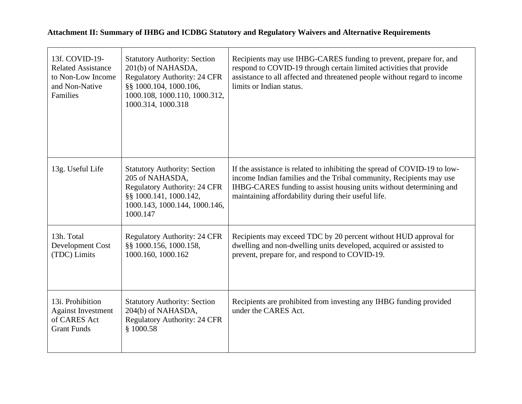| 13f. COVID-19-<br><b>Related Assistance</b><br>to Non-Low Income<br>and Non-Native<br>Families | <b>Statutory Authority: Section</b><br>201(b) of NAHASDA,<br><b>Regulatory Authority: 24 CFR</b><br>§§ 1000.104, 1000.106,<br>1000.108, 1000.110, 1000.312,<br>1000.314, 1000.318 | Recipients may use IHBG-CARES funding to prevent, prepare for, and<br>respond to COVID-19 through certain limited activities that provide<br>assistance to all affected and threatened people without regard to income<br>limits or Indian status.                            |
|------------------------------------------------------------------------------------------------|-----------------------------------------------------------------------------------------------------------------------------------------------------------------------------------|-------------------------------------------------------------------------------------------------------------------------------------------------------------------------------------------------------------------------------------------------------------------------------|
| 13g. Useful Life                                                                               | <b>Statutory Authority: Section</b><br>205 of NAHASDA,<br><b>Regulatory Authority: 24 CFR</b><br>§§ 1000.141, 1000.142,<br>1000.143, 1000.144, 1000.146,<br>1000.147              | If the assistance is related to inhibiting the spread of COVID-19 to low-<br>income Indian families and the Tribal community, Recipients may use<br>IHBG-CARES funding to assist housing units without determining and<br>maintaining affordability during their useful life. |
| 13h. Total<br>Development Cost<br>(TDC) Limits                                                 | <b>Regulatory Authority: 24 CFR</b><br>§§ 1000.156, 1000.158,<br>1000.160, 1000.162                                                                                               | Recipients may exceed TDC by 20 percent without HUD approval for<br>dwelling and non-dwelling units developed, acquired or assisted to<br>prevent, prepare for, and respond to COVID-19.                                                                                      |
| 13i. Prohibition<br><b>Against Investment</b><br>of CARES Act<br><b>Grant Funds</b>            | <b>Statutory Authority: Section</b><br>204(b) of NAHASDA,<br><b>Regulatory Authority: 24 CFR</b><br>\$1000.58                                                                     | Recipients are prohibited from investing any IHBG funding provided<br>under the CARES Act.                                                                                                                                                                                    |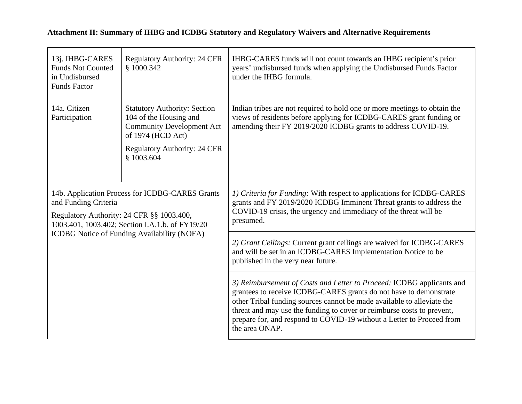| 13j. IHBG-CARES<br><b>Funds Not Counted</b><br>in Undisbursed<br><b>Funds Factor</b>                                                                                                                                   | <b>Regulatory Authority: 24 CFR</b><br>§ 1000.342                                                                                                                           | IHBG-CARES funds will not count towards an IHBG recipient's prior<br>years' undisbursed funds when applying the Undisbursed Funds Factor<br>under the IHBG formula.                                                                                                                                                                                                                       |
|------------------------------------------------------------------------------------------------------------------------------------------------------------------------------------------------------------------------|-----------------------------------------------------------------------------------------------------------------------------------------------------------------------------|-------------------------------------------------------------------------------------------------------------------------------------------------------------------------------------------------------------------------------------------------------------------------------------------------------------------------------------------------------------------------------------------|
| 14a. Citizen<br>Participation                                                                                                                                                                                          | <b>Statutory Authority: Section</b><br>104 of the Housing and<br><b>Community Development Act</b><br>of 1974 (HCD Act)<br><b>Regulatory Authority: 24 CFR</b><br>\$1003.604 | Indian tribes are not required to hold one or more meetings to obtain the<br>views of residents before applying for ICDBG-CARES grant funding or<br>amending their FY 2019/2020 ICDBG grants to address COVID-19.                                                                                                                                                                         |
| 14b. Application Process for ICDBG-CARES Grants<br>and Funding Criteria<br>Regulatory Authority: 24 CFR §§ 1003.400,<br>1003.401, 1003.402; Section I.A.1.b. of FY19/20<br>ICDBG Notice of Funding Availability (NOFA) |                                                                                                                                                                             | 1) Criteria for Funding: With respect to applications for ICDBG-CARES<br>grants and FY 2019/2020 ICDBG Imminent Threat grants to address the<br>COVID-19 crisis, the urgency and immediacy of the threat will be<br>presumed.                                                                                                                                                             |
|                                                                                                                                                                                                                        |                                                                                                                                                                             | 2) Grant Ceilings: Current grant ceilings are waived for ICDBG-CARES<br>and will be set in an ICDBG-CARES Implementation Notice to be<br>published in the very near future.                                                                                                                                                                                                               |
|                                                                                                                                                                                                                        |                                                                                                                                                                             | 3) Reimbursement of Costs and Letter to Proceed: ICDBG applicants and<br>grantees to receive ICDBG-CARES grants do not have to demonstrate<br>other Tribal funding sources cannot be made available to alleviate the<br>threat and may use the funding to cover or reimburse costs to prevent,<br>prepare for, and respond to COVID-19 without a Letter to Proceed from<br>the area ONAP. |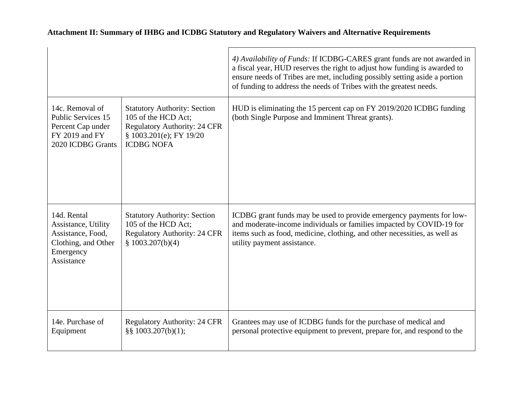| Attachment II: Summary of IHBG and ICDBG Statutory and Regulatory Waivers and Alternative Requirements |  |  |
|--------------------------------------------------------------------------------------------------------|--|--|
|                                                                                                        |  |  |

|                                                                                                           |                                                                                                                                                   | 4) Availability of Funds: If ICDBG-CARES grant funds are not awarded in<br>a fiscal year, HUD reserves the right to adjust how funding is awarded to<br>ensure needs of Tribes are met, including possibly setting aside a portion<br>of funding to address the needs of Tribes with the greatest needs. |
|-----------------------------------------------------------------------------------------------------------|---------------------------------------------------------------------------------------------------------------------------------------------------|----------------------------------------------------------------------------------------------------------------------------------------------------------------------------------------------------------------------------------------------------------------------------------------------------------|
| 14c. Removal of<br><b>Public Services 15</b><br>Percent Cap under<br>FY 2019 and FY<br>2020 ICDBG Grants  | <b>Statutory Authority: Section</b><br>105 of the HCD Act;<br><b>Regulatory Authority: 24 CFR</b><br>\$1003.201(e); FY 19/20<br><b>ICDBG NOFA</b> | HUD is eliminating the 15 percent cap on FY 2019/2020 ICDBG funding<br>(both Single Purpose and Imminent Threat grants).                                                                                                                                                                                 |
| 14d. Rental<br>Assistance, Utility<br>Assistance, Food,<br>Clothing, and Other<br>Emergency<br>Assistance | <b>Statutory Authority: Section</b><br>105 of the HCD Act;<br><b>Regulatory Authority: 24 CFR</b><br>\$1003.207(b)(4)                             | ICDBG grant funds may be used to provide emergency payments for low-<br>and moderate-income individuals or families impacted by COVID-19 for<br>items such as food, medicine, clothing, and other necessities, as well as<br>utility payment assistance.                                                 |
| 14e. Purchase of<br>Equipment                                                                             | <b>Regulatory Authority: 24 CFR</b><br>§§ $1003.207(b)(1)$ ;                                                                                      | Grantees may use of ICDBG funds for the purchase of medical and<br>personal protective equipment to prevent, prepare for, and respond to the                                                                                                                                                             |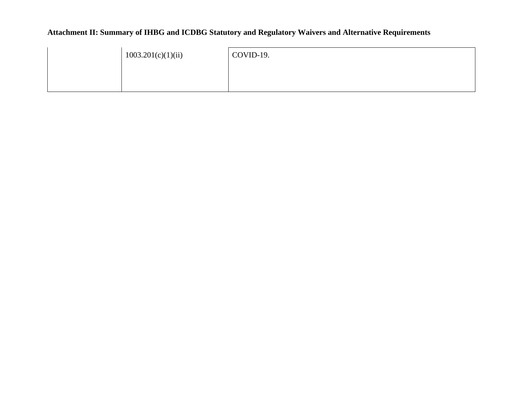| 1003.201(c)(1)(ii) | COVID-19. |
|--------------------|-----------|
|                    |           |
|                    |           |